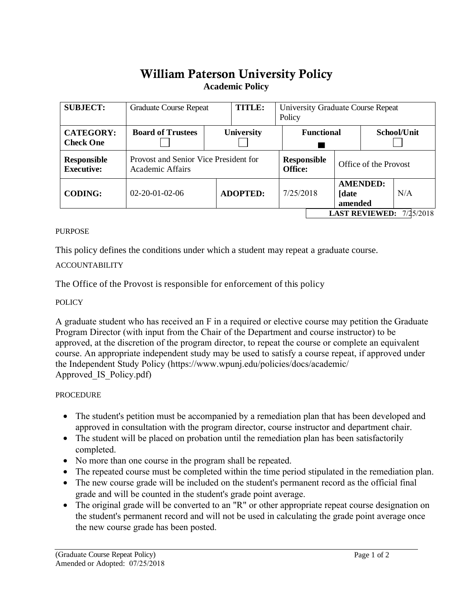# William Paterson University Policy **Academic Policy**

| <b>SUBJECT:</b>                      | <b>Graduate Course Repeat</b>                             |                 | TITLE:            | University Graduate Course Repeat<br>Policy |           |                       |                            |           |
|--------------------------------------|-----------------------------------------------------------|-----------------|-------------------|---------------------------------------------|-----------|-----------------------|----------------------------|-----------|
| <b>CATEGORY:</b><br><b>Check One</b> | <b>Board of Trustees</b>                                  |                 | <b>University</b> | <b>Functional</b>                           |           | School/Unit           |                            |           |
| Responsible<br><b>Executive:</b>     | Provost and Senior Vice President for<br>Academic Affairs |                 |                   | <b>Responsible</b><br><b>Office:</b>        |           | Office of the Provost |                            |           |
| <b>CODING:</b>                       | $02 - 20 - 01 - 02 - 06$                                  | <b>ADOPTED:</b> |                   |                                             | 7/25/2018 |                       | <b>AMENDED:</b><br>amended | N/A       |
| <b>LAST REVIEWED:</b>                |                                                           |                 |                   |                                             |           |                       |                            | 7/25/2018 |

#### **PURPOSE**

This policy defines the conditions under which a student may repeat a graduate course.

## ACCOUNTABILITY

The Office of the Provost is responsible for enforcement of this policy

#### POLICY

A graduate student who has received an F in a required or elective course may petition the Graduate Program Director (with input from the Chair of the Department and course instructor) to be approved, at the discretion of the program director, to repeat the course or complete an equivalent course. An appropriate independent study may be used to satisfy a course repeat, if approved under the Independent Study Policy (https://www.wp[unj.edu/policies/docs/academic/](https://www.wpunj.edu/policies/docs/academic/Approved_IS_Policy.pdf) [Approved\\_IS\\_Policy.pdf\)](https://www.wpunj.edu/policies/docs/academic/Approved_IS_Policy.pdf)

## PROCEDURE

- The student's petition must be accompanied by a remediation plan that has been developed and approved in consultation with the program director, course instructor and department chair.
- The student will be placed on probation until the remediation plan has been satisfactorily completed.
- No more than one course in the program shall be repeated.
- The repeated course must be completed within the time period stipulated in the remediation plan.
- The new course grade will be included on the student's permanent record as the official final grade and will be counted in the student's grade point average.
- The original grade will be converted to an "R" or other appropriate repeat course designation on the student's permanent record and will not be used in calculating the grade point average once the new course grade has been posted.